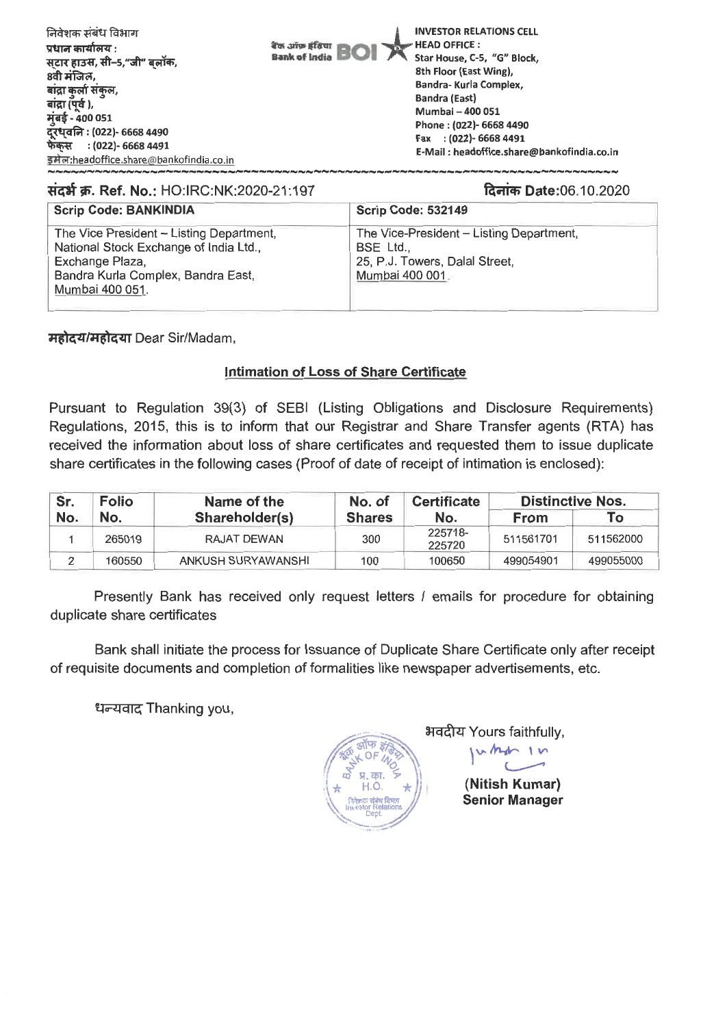

## **Scrip Code: BANKINDIA Scrip Code: 532149 The Vice President — Listing Department, National Stock Exchange of India Ltd., Exchange Plaza, Bandra Kurla Complex, Bandra East, Mum bai 400 051. The Vice-President — Listing Department, BSE Ltd., 25, P.J. Towers, Dalal Street, Mumbai 400 001 Tiat W. Ref. No.: HO:IRC:NK:2020-21:197 aim) Date:06.10.2020**

*H***ai** *a***<sup>4</sup>/Hai** *a***<sup>4</sup> Dear Sir/Madam,** 

## **Intimation of Loss of Share Certificate**

**Pursuant to Regulation 39(3) of SEBI (Listing Obligations and Disclosure Requirements) Regulations, 2015, this is to inform that our Registrar and Share Transfer agents (RTA) has received the information about loss of share certificates and requested them to issue duplicate share certificates in the following cases (Proof of date of receipt of intimation is enclosed):** 

| Sr. | <b>Folio</b> | Name of the        | No. of        | <b>Certificate</b> | <b>Distinctive Nos.</b> |           |
|-----|--------------|--------------------|---------------|--------------------|-------------------------|-----------|
| No. | No.          | Shareholder(s)     | <b>Shares</b> | No.                | <b>From</b>             | To        |
|     | 265019       | RAJAT DEWAN        | 300           | 225718-<br>225720  | 511561701               | 511562000 |
|     | 160550       | ANKUSH SURYAWANSHI | 100           | 100650             | 499054901               | 499055000 |

**Presently Bank has received only request letters / emails for procedure for obtaining duplicate share certificates** 

**Bank shall initiate the process for Issuance of Duplicate Share Certificate only after receipt of requisite documents and completion of formalities like newspaper advertisements, etc.** 

**TAT-4-4g Thanking you,** 



**ai-4-41W Yours faithfully, v. Mit—** 

> **(Nitish Kumar) Senior Manager**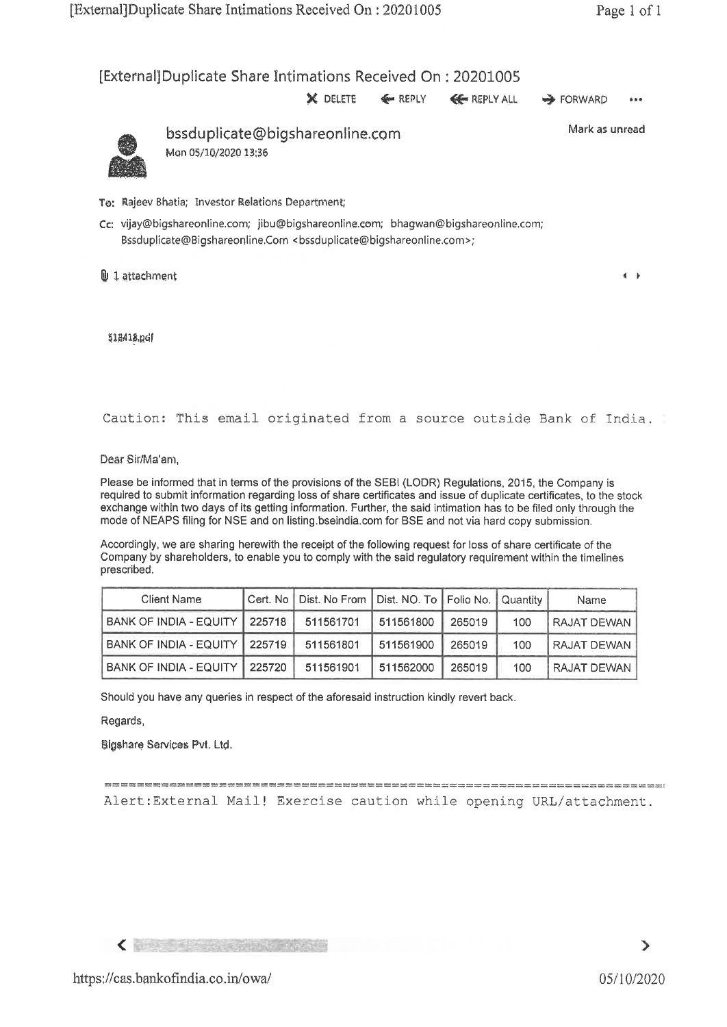[External] Duplicate Share intimations Received On : 20201005

**X** DELETE  $\leq$  REPLY  $\leq$  REPLY ALL  $\Rightarrow$  FORWARD



bssduplicate@bigshareonline.com Mon 05/10/2020 13:36

Mark as unread

- To: RaJeev Bhatia; Investor Relations Department;
- Cc: vijay@bigshareonline.com; jibu@bigshareonline.eom; bhagwan©bigshareonline.com; Bssduplicate@Bigshareonline.Com <bssduplicate@bigshareonline.com>;
- $\Box$  1 attachment **4**  $\Box$  4 **1**

3,g,418,pcif

Caution: This email originated from a source outside Bank of India.

Dear Sir/Ma'am,

Please be informed that in terms of the provisions of the SEBI (LODR) Regulations, 2015, the Company is required to submit information regarding loss of share certificates and issue of duplicate certificates, to the stock exchange within two days of its getting information. Further, the said intimation has to be filed only through the mode of NEAPS filing for NSE and on listing.bseindia.com for BSE and not via hard copy submission.

Accordingly, we are sharing herewith the receipt of the following request for loss of share certificate of the Company by shareholders, to enable you to comply with the said regulatory requirement within the timelines prescribed.

| <b>Client Name</b>            |        | Cert. No   Dist. No From   Dist. NO. To   Folio No.   Quantity |           |        |     | Name        |
|-------------------------------|--------|----------------------------------------------------------------|-----------|--------|-----|-------------|
| BANK OF INDIA - EQUITY        | 225718 | 511561701                                                      | 511561800 | 265019 | 100 | RAJAT DEWAN |
| BANK OF INDIA - EQUITY 225719 |        | 511561801                                                      | 511561900 | 265019 | 100 | RAJAT DEWAN |
| BANK OF INDIA - EQUITY 225720 |        | 511561901                                                      | 511562000 | 265019 | 100 | RAJAT DEWAN |

Should you have any queries in respect of the aforesaid instruction kindly revert back.

Regards,

Blgshare Services Pvt. Ltd,

Alert:External Mail! Exercise caution while opening URL/attachment.

**<**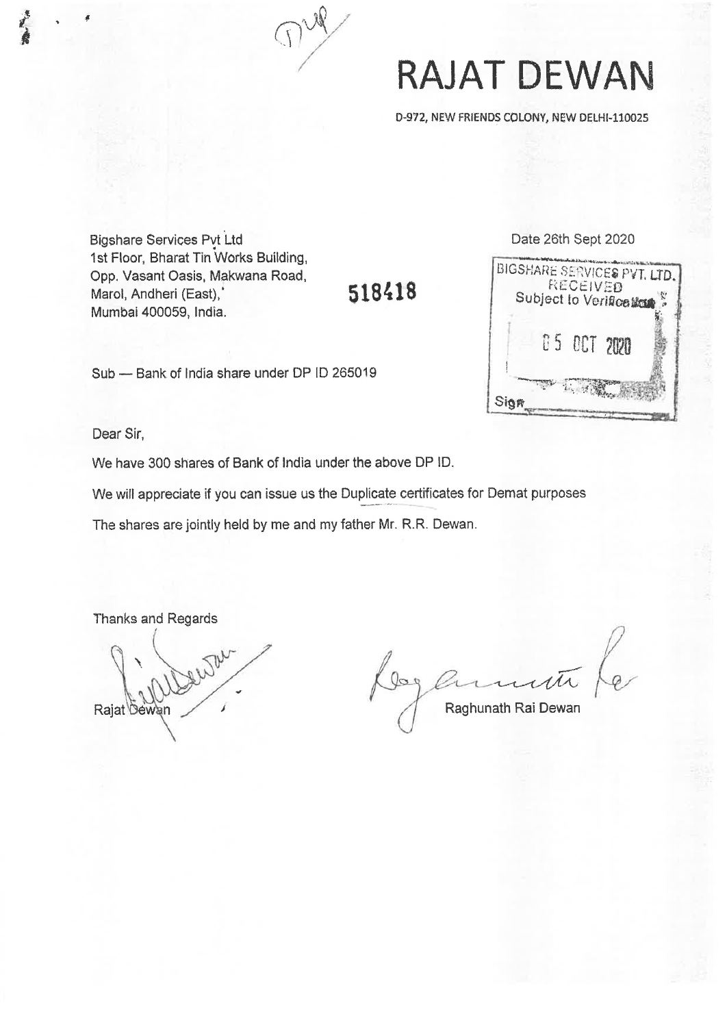

## **RAJAT DEWAN**

0-972, NEW FRIENDS COLONY, NEW DELHI-110025

**Bigshare Services Pvt Ltd** 1st Floor, Bharat Tin Works Building, Opp, Vasant Oasis, Makwana Road, Marol, Andheri (East),\* Mumbal 400059, India.

1**8418** 

Sub — Bank of India share under DP ID 265019

Date 26th Sept 2020



Dear Sir,

We have 300 shares of Bank of India under the above DP ID.

We will appreciate if you can issue us the Duplicate certificates for Demat purposes

The shares are jointly held by me and my father Mr. R.R. Dewan.

Thanks and Regards

Rajat bewan Rajat bewan Rajat bewan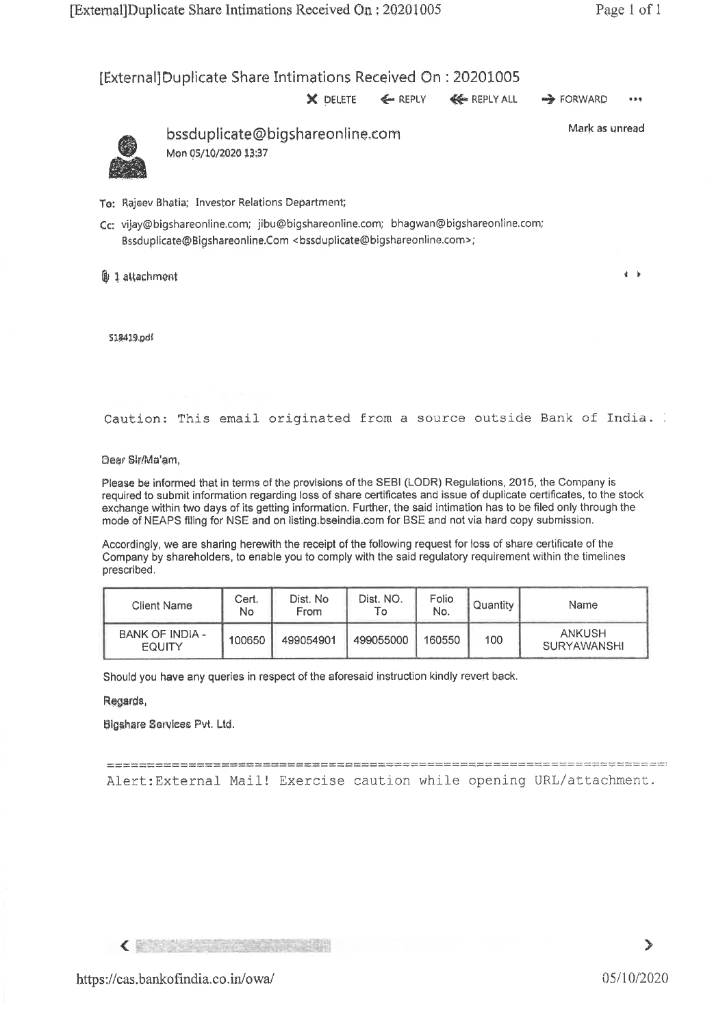[External] Duplicate Share Intimations Received On : 20201005

**X** DELETE  $\leftarrow$  REPLY  $\leftarrow$  REPLY ALL  $\rightarrow$  FORWARD •••



bssduplicate@bigshareonline.com Mon 05/10/2020 13:37

Mark as unread

 $\overline{4}$   $\overline{5}$ 

To: Rajeev Bhatia; Investor Relations Department;

Cc: vijay@bigshareonline.com; jibu@bigshareonline.com; bhagwan@bigshareonline.com; Bssduplicate@Bigshareonline.Com <bssduplicate@bigshareonline.com>;

 $01$  attachment

SIR419,pdf

Caution: This email originated from a source outside Bank of India.

Dear Sir/Ma'am,

Please be informed that in terms of the provisions of the SEBI (LODR) Regulations, 2015, the Company is required to submit information regarding loss of share certificates and issue of duplicate certificates, to the stock exchange within two days of its getting information. Further, the said intimation has to be filed only through the mode of NEAPS filing for NSE and on listing.bseindia.com for BSE and not via hard copy submission.

Accordingly, we are sharing herewith the receipt of the following request for loss of share certificate of the Company by shareholders, to enable you to comply with the said regulatory requirement within the timelines prescribed.

| Client Name                      | Cert.<br>No | Dist. No<br>From | Dist. NO.<br>ı٥ | Folio<br>No. | Quantity | Name                         |
|----------------------------------|-------------|------------------|-----------------|--------------|----------|------------------------------|
| <b>BANK OF INDIA -</b><br>EQUITY | 100650      | 499054901        | 499055000       | 160550       | 100      | <b>ANKUSH</b><br>SURYAWANSHI |

Should you have any queries in respect of the aforesaid instruction kindly revert back.

Reoards,

Ulgoshare Services Pvt. Ltd.

Alert:External Mail! Exercise caution while opening URL/attachment.